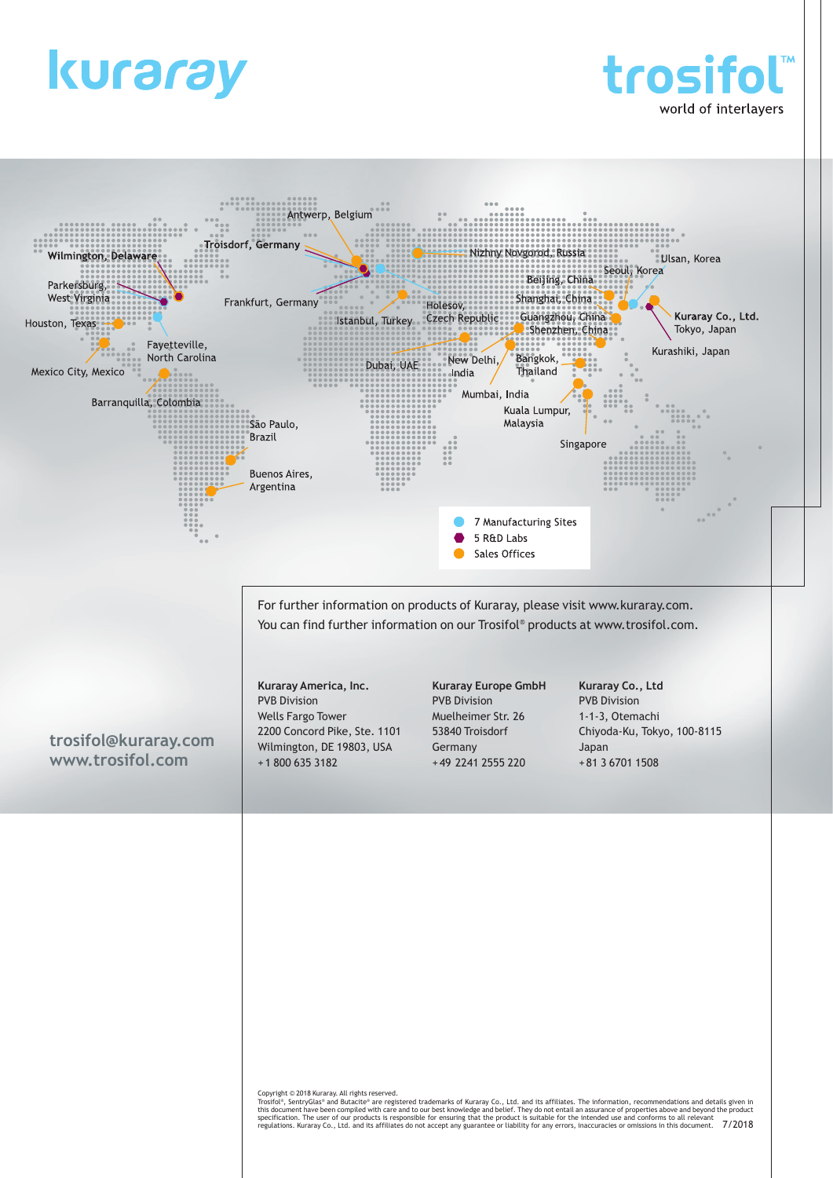





Copyright © 2018 Kuraray. All rights reserved.<br>Trosifol<sup>e</sup>, SentryGlas<sup>s</sup> and Butacite® are registered trademarks of Kuraray Co., Ltd. and its affiliates. The information, recommendations and details given in<br>shis document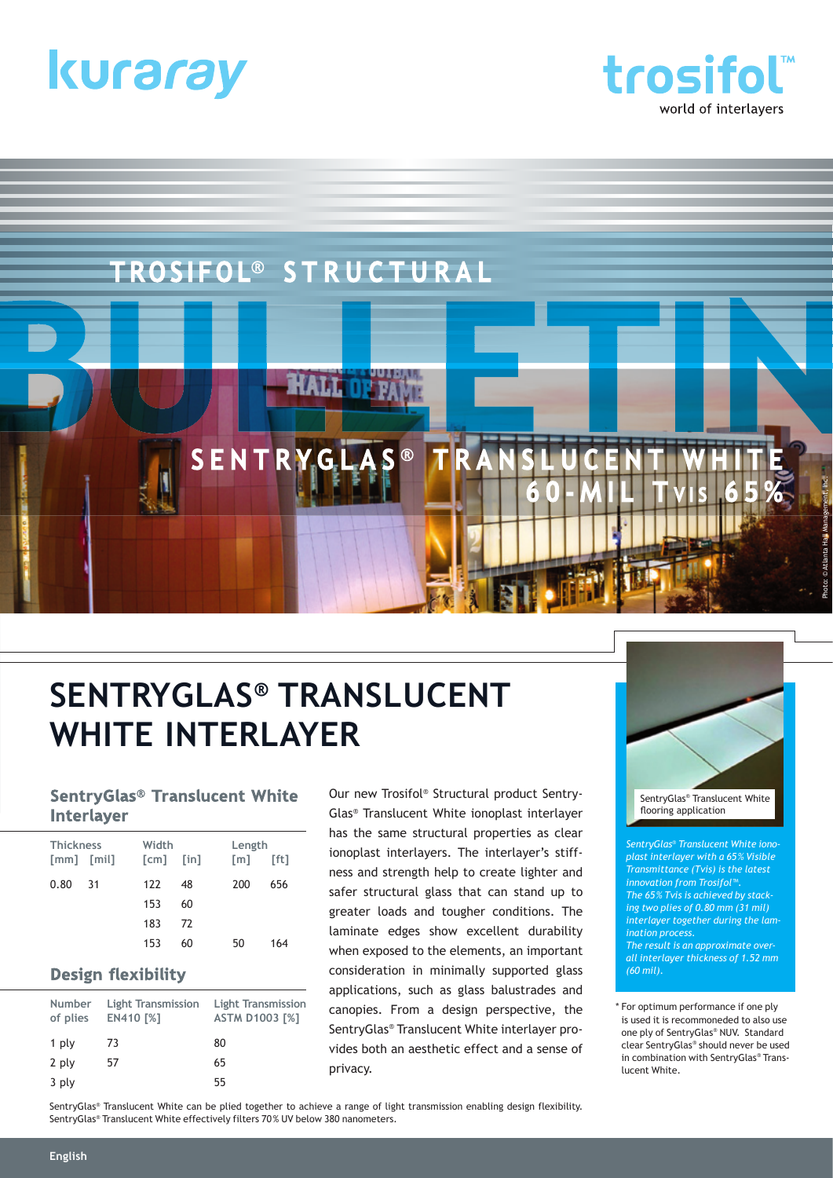





# **SENTRYGLAS® TRANSLUCENT WHITE INTERLAYER**

#### **SentryGlas<sup>®</sup> Translucent White Interlayer**

| <b>Thickness</b><br>$\lceil mm \rceil$ $\lceil min \rceil$ |      | Width<br>$\lceil$ cm $\rceil$ | $\lceil \text{in} \rceil$ | Length<br>[ft]<br>$\lceil m \rceil$ |     |  |  |
|------------------------------------------------------------|------|-------------------------------|---------------------------|-------------------------------------|-----|--|--|
| 0.80                                                       | - 31 | 122                           | 48                        | 200                                 | 656 |  |  |
|                                                            |      | 153                           | 60                        |                                     |     |  |  |
|                                                            |      | 183                           | 72                        |                                     |     |  |  |
|                                                            |      | 153                           | 60                        | 50                                  | 164 |  |  |

#### **Design flexibility**

| Number<br>of plies | Light Transmission<br><b>EN410 [%]</b> | <b>Light Transmission</b><br><b>ASTM D1003 [%]</b> |
|--------------------|----------------------------------------|----------------------------------------------------|
| 1 ply              | 73                                     | 80                                                 |
| 2 ply              | 57                                     | 65                                                 |
| 3 ply              |                                        | 55                                                 |

Our new Trosifol® Structural product Sentry-Glas® Translucent White ionoplast interlayer has the same structural properties as clear ionoplast interlayers. The interlayer's stiffness and strength help to create lighter and safer structural glass that can stand up to greater loads and tougher conditions. The laminate edges show excellent durability when exposed to the elements, an important consideration in minimally supported glass applications, such as glass balustrades and canopies. From a design perspective, the SentryGlas® Translucent White interlayer provides both an aesthetic effect and a sense of privacy.



*SentryGlas® Translucent White ionoplast interlayer with a 65 % Visible Transmittance (Tvis) is the latest innovation from Trosifol™. The 65 % Tvis is achieved by stacking two plies of 0.80 mm (31 mil) interlayer together during the lamination process. The result is an approximate overall interlayer thickness of 1.52 mm (60 mil).*

\* For optimum performance if one ply is used it is recommoneded to also use one ply of SentryGlas® NUV. Standard clear SentryGlas® should never be used in combination with SentryGlas® Translucent White.

SentryGlas® Translucent White can be plied together to achieve a range of light transmission enabling design flexibility. SentryGlas® Translucent White effectively filters 70 % UV below 380 nanometers.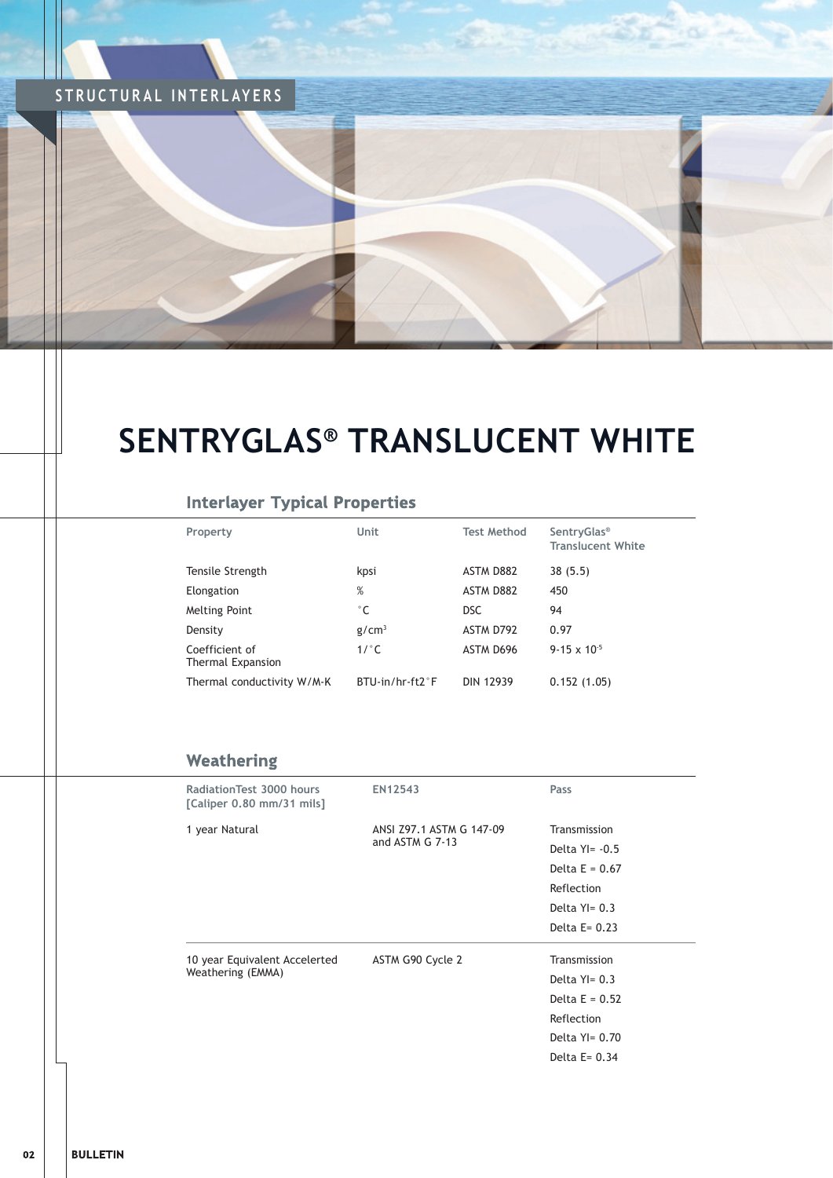## **STRUCTURAL INTERLAYERS**

## **SENTRYGLAS® TRANSLUCENT WHITE**

**BURNING TO BE CARD TO** 

#### **Interlayer Typical Properties**

| Property                            | Unit               | <b>Test Method</b> | <b>SentryGlas<sup>®</sup></b><br><b>Translucent White</b> |
|-------------------------------------|--------------------|--------------------|-----------------------------------------------------------|
| Tensile Strength                    | kpsi               | <b>ASTM D882</b>   | 38(5.5)                                                   |
| Elongation                          | $\%$               | <b>ASTM D882</b>   | 450                                                       |
| Melting Point                       | $^{\circ}$ C       | <b>DSC</b>         | 94                                                        |
| Density                             | g/cm <sup>3</sup>  | ASTM D792          | 0.97                                                      |
| Coefficient of<br>Thermal Expansion | 1/°C               | ASTM D696          | $9-15 \times 10^{-5}$                                     |
| Thermal conductivity W/M-K          | $BTLJ-in/hr-ft2°F$ | <b>DIN 12939</b>   | 0.152(1.05)                                               |

#### Weathering

| Radiation Test 3000 hours<br>[Caliper 0.80 mm/31 mils] | EN12543                  | Pass             |
|--------------------------------------------------------|--------------------------|------------------|
| 1 year Natural                                         | ANSI Z97.1 ASTM G 147-09 | Transmission     |
|                                                        | and ASTM G 7-13          | Delta $Y = -0.5$ |
|                                                        |                          | Delta $E = 0.67$ |
|                                                        |                          | Reflection       |
|                                                        |                          | Delta $Y = 0.3$  |
|                                                        |                          | Delta $E = 0.23$ |
| 10 year Equivalent Accelerted                          | ASTM G90 Cycle 2         | Transmission     |
| Weathering (EMMA)                                      |                          | Delta $Y = 0.3$  |
|                                                        |                          | Delta $E = 0.52$ |
|                                                        |                          | Reflection       |
|                                                        |                          | Delta $Y = 0.70$ |
|                                                        |                          | Delta $E = 0.34$ |